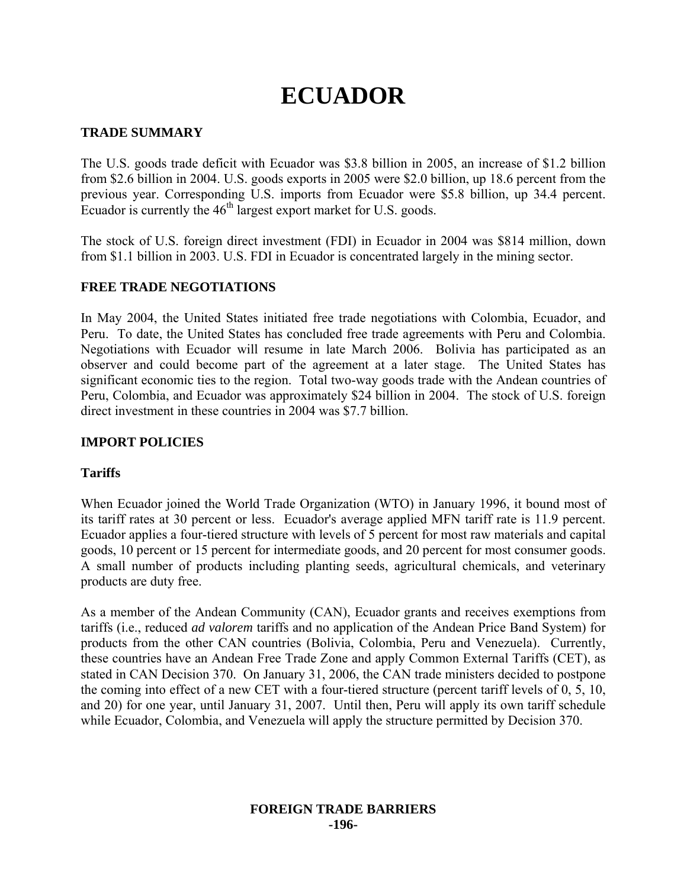# **ECUADOR**

# **TRADE SUMMARY**

The U.S. goods trade deficit with Ecuador was \$3.8 billion in 2005, an increase of \$1.2 billion from \$2.6 billion in 2004. U.S. goods exports in 2005 were \$2.0 billion, up 18.6 percent from the previous year. Corresponding U.S. imports from Ecuador were \$5.8 billion, up 34.4 percent. Ecuador is currently the  $46<sup>th</sup>$  largest export market for U.S. goods.

The stock of U.S. foreign direct investment (FDI) in Ecuador in 2004 was \$814 million, down from \$1.1 billion in 2003. U.S. FDI in Ecuador is concentrated largely in the mining sector.

# **FREE TRADE NEGOTIATIONS**

In May 2004, the United States initiated free trade negotiations with Colombia, Ecuador, and Peru. To date, the United States has concluded free trade agreements with Peru and Colombia. Negotiations with Ecuador will resume in late March 2006. Bolivia has participated as an observer and could become part of the agreement at a later stage. The United States has significant economic ties to the region. Total two-way goods trade with the Andean countries of Peru, Colombia, and Ecuador was approximately \$24 billion in 2004. The stock of U.S. foreign direct investment in these countries in 2004 was \$7.7 billion.

# **IMPORT POLICIES**

#### **Tariffs**

When Ecuador joined the World Trade Organization (WTO) in January 1996, it bound most of its tariff rates at 30 percent or less. Ecuador's average applied MFN tariff rate is 11.9 percent. Ecuador applies a four-tiered structure with levels of 5 percent for most raw materials and capital goods, 10 percent or 15 percent for intermediate goods, and 20 percent for most consumer goods. A small number of products including planting seeds, agricultural chemicals, and veterinary products are duty free.

As a member of the Andean Community (CAN), Ecuador grants and receives exemptions from tariffs (i.e., reduced *ad valorem* tariffs and no application of the Andean Price Band System) for products from the other CAN countries (Bolivia, Colombia, Peru and Venezuela). Currently, these countries have an Andean Free Trade Zone and apply Common External Tariffs (CET), as stated in CAN Decision 370. On January 31, 2006, the CAN trade ministers decided to postpone the coming into effect of a new CET with a four-tiered structure (percent tariff levels of 0, 5, 10, and 20) for one year, until January 31, 2007. Until then, Peru will apply its own tariff schedule while Ecuador, Colombia, and Venezuela will apply the structure permitted by Decision 370.

#### **FOREIGN TRADE BARRIERS -196-**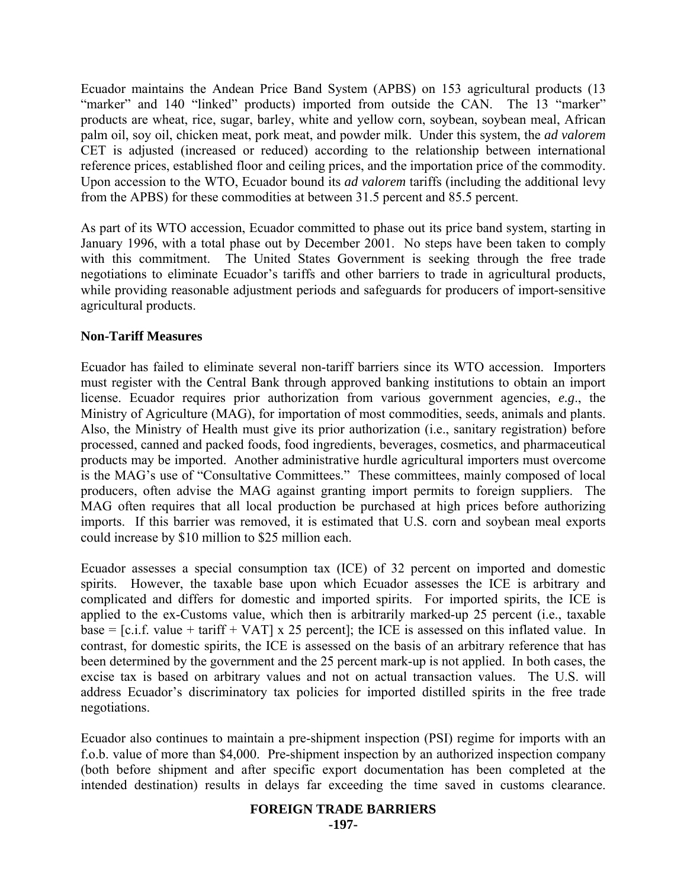Ecuador maintains the Andean Price Band System (APBS) on 153 agricultural products (13 "marker" and 140 "linked" products) imported from outside the CAN. The 13 "marker" products are wheat, rice, sugar, barley, white and yellow corn, soybean, soybean meal, African palm oil, soy oil, chicken meat, pork meat, and powder milk. Under this system, the *ad valorem* CET is adjusted (increased or reduced) according to the relationship between international reference prices, established floor and ceiling prices, and the importation price of the commodity. Upon accession to the WTO, Ecuador bound its *ad valorem* tariffs (including the additional levy from the APBS) for these commodities at between 31.5 percent and 85.5 percent.

As part of its WTO accession, Ecuador committed to phase out its price band system, starting in January 1996, with a total phase out by December 2001. No steps have been taken to comply with this commitment. The United States Government is seeking through the free trade negotiations to eliminate Ecuador's tariffs and other barriers to trade in agricultural products, while providing reasonable adjustment periods and safeguards for producers of import-sensitive agricultural products.

#### **Non-Tariff Measures**

Ecuador has failed to eliminate several non-tariff barriers since its WTO accession. Importers must register with the Central Bank through approved banking institutions to obtain an import license. Ecuador requires prior authorization from various government agencies, *e.g*., the Ministry of Agriculture (MAG), for importation of most commodities, seeds, animals and plants. Also, the Ministry of Health must give its prior authorization (i.e., sanitary registration) before processed, canned and packed foods, food ingredients, beverages, cosmetics, and pharmaceutical products may be imported. Another administrative hurdle agricultural importers must overcome is the MAG's use of "Consultative Committees." These committees, mainly composed of local producers, often advise the MAG against granting import permits to foreign suppliers. The MAG often requires that all local production be purchased at high prices before authorizing imports. If this barrier was removed, it is estimated that U.S. corn and soybean meal exports could increase by \$10 million to \$25 million each.

Ecuador assesses a special consumption tax (ICE) of 32 percent on imported and domestic spirits. However, the taxable base upon which Ecuador assesses the ICE is arbitrary and complicated and differs for domestic and imported spirits. For imported spirits, the ICE is applied to the ex-Customs value, which then is arbitrarily marked-up 25 percent (i.e., taxable base =  $[c.i.f. value + tariff + VAT] \times 25$  percent]; the ICE is assessed on this inflated value. In contrast, for domestic spirits, the ICE is assessed on the basis of an arbitrary reference that has been determined by the government and the 25 percent mark-up is not applied. In both cases, the excise tax is based on arbitrary values and not on actual transaction values. The U.S. will address Ecuador's discriminatory tax policies for imported distilled spirits in the free trade negotiations.

Ecuador also continues to maintain a pre-shipment inspection (PSI) regime for imports with an f.o.b. value of more than \$4,000. Pre-shipment inspection by an authorized inspection company (both before shipment and after specific export documentation has been completed at the intended destination) results in delays far exceeding the time saved in customs clearance.

# **FOREIGN TRADE BARRIERS**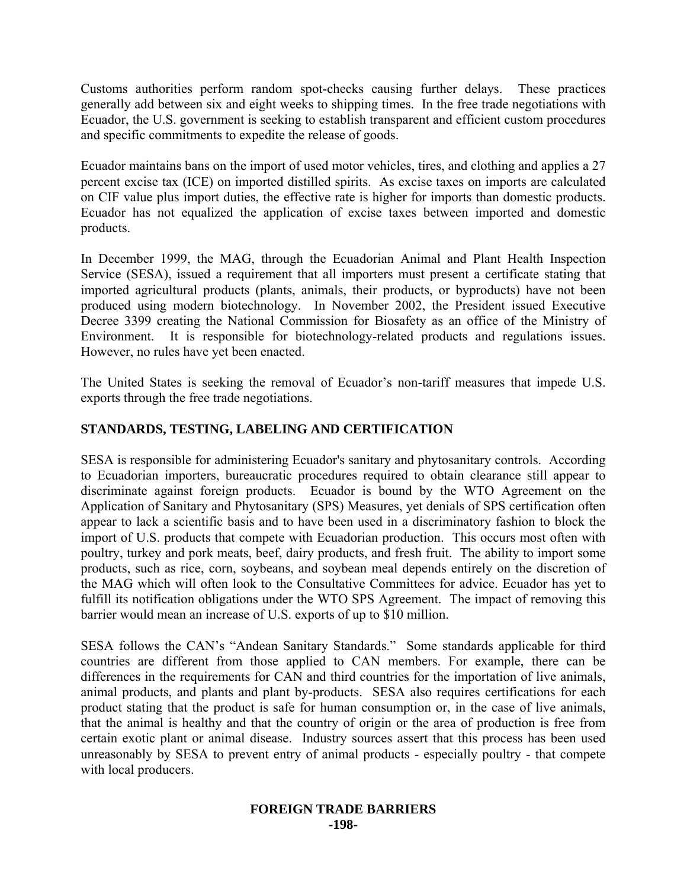Customs authorities perform random spot-checks causing further delays. These practices generally add between six and eight weeks to shipping times. In the free trade negotiations with Ecuador, the U.S. government is seeking to establish transparent and efficient custom procedures and specific commitments to expedite the release of goods.

Ecuador maintains bans on the import of used motor vehicles, tires, and clothing and applies a 27 percent excise tax (ICE) on imported distilled spirits. As excise taxes on imports are calculated on CIF value plus import duties, the effective rate is higher for imports than domestic products. Ecuador has not equalized the application of excise taxes between imported and domestic products.

In December 1999, the MAG, through the Ecuadorian Animal and Plant Health Inspection Service (SESA), issued a requirement that all importers must present a certificate stating that imported agricultural products (plants, animals, their products, or byproducts) have not been produced using modern biotechnology. In November 2002, the President issued Executive Decree 3399 creating the National Commission for Biosafety as an office of the Ministry of Environment. It is responsible for biotechnology-related products and regulations issues. However, no rules have yet been enacted.

The United States is seeking the removal of Ecuador's non-tariff measures that impede U.S. exports through the free trade negotiations.

# **STANDARDS, TESTING, LABELING AND CERTIFICATION**

SESA is responsible for administering Ecuador's sanitary and phytosanitary controls. According to Ecuadorian importers, bureaucratic procedures required to obtain clearance still appear to discriminate against foreign products. Ecuador is bound by the WTO Agreement on the Application of Sanitary and Phytosanitary (SPS) Measures, yet denials of SPS certification often appear to lack a scientific basis and to have been used in a discriminatory fashion to block the import of U.S. products that compete with Ecuadorian production. This occurs most often with poultry, turkey and pork meats, beef, dairy products, and fresh fruit. The ability to import some products, such as rice, corn, soybeans, and soybean meal depends entirely on the discretion of the MAG which will often look to the Consultative Committees for advice. Ecuador has yet to fulfill its notification obligations under the WTO SPS Agreement. The impact of removing this barrier would mean an increase of U.S. exports of up to \$10 million.

SESA follows the CAN's "Andean Sanitary Standards." Some standards applicable for third countries are different from those applied to CAN members. For example, there can be differences in the requirements for CAN and third countries for the importation of live animals, animal products, and plants and plant by-products. SESA also requires certifications for each product stating that the product is safe for human consumption or, in the case of live animals, that the animal is healthy and that the country of origin or the area of production is free from certain exotic plant or animal disease. Industry sources assert that this process has been used unreasonably by SESA to prevent entry of animal products - especially poultry - that compete with local producers.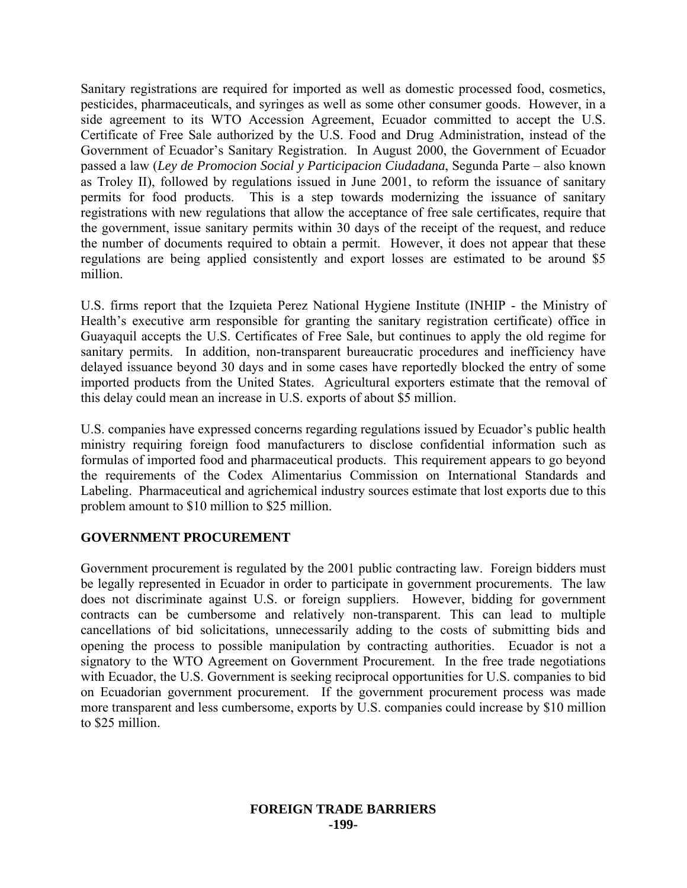Sanitary registrations are required for imported as well as domestic processed food, cosmetics, pesticides, pharmaceuticals, and syringes as well as some other consumer goods. However, in a side agreement to its WTO Accession Agreement, Ecuador committed to accept the U.S. Certificate of Free Sale authorized by the U.S. Food and Drug Administration, instead of the Government of Ecuador's Sanitary Registration. In August 2000, the Government of Ecuador passed a law (*Ley de Promocion Social y Participacion Ciudadana*, Segunda Parte – also known as Troley II), followed by regulations issued in June 2001, to reform the issuance of sanitary permits for food products. This is a step towards modernizing the issuance of sanitary registrations with new regulations that allow the acceptance of free sale certificates, require that the government, issue sanitary permits within 30 days of the receipt of the request, and reduce the number of documents required to obtain a permit. However, it does not appear that these regulations are being applied consistently and export losses are estimated to be around \$5 million.

U.S. firms report that the Izquieta Perez National Hygiene Institute (INHIP - the Ministry of Health's executive arm responsible for granting the sanitary registration certificate) office in Guayaquil accepts the U.S. Certificates of Free Sale, but continues to apply the old regime for sanitary permits. In addition, non-transparent bureaucratic procedures and inefficiency have delayed issuance beyond 30 days and in some cases have reportedly blocked the entry of some imported products from the United States. Agricultural exporters estimate that the removal of this delay could mean an increase in U.S. exports of about \$5 million.

U.S. companies have expressed concerns regarding regulations issued by Ecuador's public health ministry requiring foreign food manufacturers to disclose confidential information such as formulas of imported food and pharmaceutical products. This requirement appears to go beyond the requirements of the Codex Alimentarius Commission on International Standards and Labeling. Pharmaceutical and agrichemical industry sources estimate that lost exports due to this problem amount to \$10 million to \$25 million.

# **GOVERNMENT PROCUREMENT**

Government procurement is regulated by the 2001 public contracting law. Foreign bidders must be legally represented in Ecuador in order to participate in government procurements. The law does not discriminate against U.S. or foreign suppliers. However, bidding for government contracts can be cumbersome and relatively non-transparent. This can lead to multiple cancellations of bid solicitations, unnecessarily adding to the costs of submitting bids and opening the process to possible manipulation by contracting authorities.Ecuador is not a signatory to the WTO Agreement on Government Procurement. In the free trade negotiations with Ecuador, the U.S. Government is seeking reciprocal opportunities for U.S. companies to bid on Ecuadorian government procurement. If the government procurement process was made more transparent and less cumbersome, exports by U.S. companies could increase by \$10 million to \$25 million.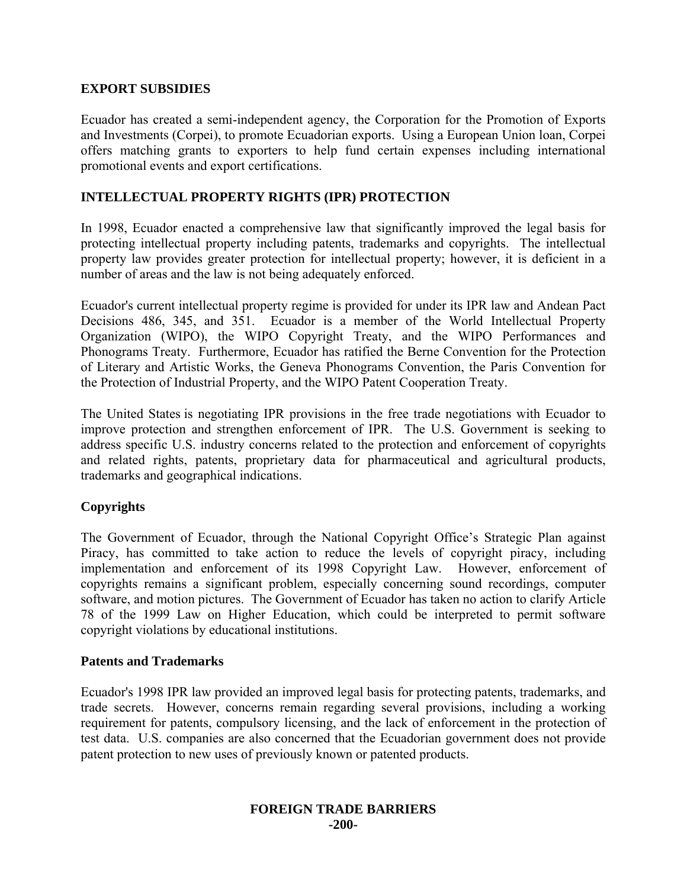# **EXPORT SUBSIDIES**

Ecuador has created a semi-independent agency, the Corporation for the Promotion of Exports and Investments (Corpei), to promote Ecuadorian exports. Using a European Union loan, Corpei offers matching grants to exporters to help fund certain expenses including international promotional events and export certifications.

### **INTELLECTUAL PROPERTY RIGHTS (IPR) PROTECTION**

In 1998, Ecuador enacted a comprehensive law that significantly improved the legal basis for protecting intellectual property including patents, trademarks and copyrights. The intellectual property law provides greater protection for intellectual property; however, it is deficient in a number of areas and the law is not being adequately enforced.

Ecuador's current intellectual property regime is provided for under its IPR law and Andean Pact Decisions 486, 345, and 351. Ecuador is a member of the World Intellectual Property Organization (WIPO), the WIPO Copyright Treaty, and the WIPO Performances and Phonograms Treaty. Furthermore, Ecuador has ratified the Berne Convention for the Protection of Literary and Artistic Works, the Geneva Phonograms Convention, the Paris Convention for the Protection of Industrial Property, and the WIPO Patent Cooperation Treaty.

The United States is negotiating IPR provisions in the free trade negotiations with Ecuador to improve protection and strengthen enforcement of IPR. The U.S. Government is seeking to address specific U.S. industry concerns related to the protection and enforcement of copyrights and related rights, patents, proprietary data for pharmaceutical and agricultural products, trademarks and geographical indications.

#### **Copyrights**

The Government of Ecuador, through the National Copyright Office's Strategic Plan against Piracy, has committed to take action to reduce the levels of copyright piracy, including implementation and enforcement of its 1998 Copyright Law. However, enforcement of copyrights remains a significant problem, especially concerning sound recordings, computer software, and motion pictures. The Government of Ecuador has taken no action to clarify Article 78 of the 1999 Law on Higher Education, which could be interpreted to permit software copyright violations by educational institutions.

#### **Patents and Trademarks**

Ecuador's 1998 IPR law provided an improved legal basis for protecting patents, trademarks, and trade secrets. However, concerns remain regarding several provisions, including a working requirement for patents, compulsory licensing, and the lack of enforcement in the protection of test data. U.S. companies are also concerned that the Ecuadorian government does not provide patent protection to new uses of previously known or patented products.

#### **FOREIGN TRADE BARRIERS -200-**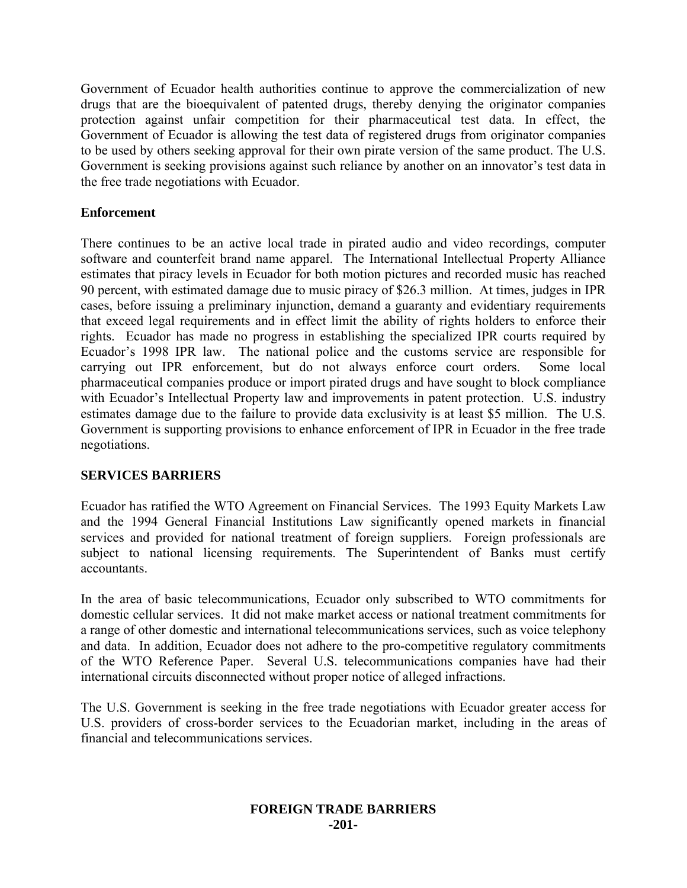Government of Ecuador health authorities continue to approve the commercialization of new drugs that are the bioequivalent of patented drugs, thereby denying the originator companies protection against unfair competition for their pharmaceutical test data. In effect, the Government of Ecuador is allowing the test data of registered drugs from originator companies to be used by others seeking approval for their own pirate version of the same product. The U.S. Government is seeking provisions against such reliance by another on an innovator's test data in the free trade negotiations with Ecuador.

### **Enforcement**

There continues to be an active local trade in pirated audio and video recordings, computer software and counterfeit brand name apparel. The International Intellectual Property Alliance estimates that piracy levels in Ecuador for both motion pictures and recorded music has reached 90 percent, with estimated damage due to music piracy of \$26.3 million. At times, judges in IPR cases, before issuing a preliminary injunction, demand a guaranty and evidentiary requirements that exceed legal requirements and in effect limit the ability of rights holders to enforce their rights. Ecuador has made no progress in establishing the specialized IPR courts required by Ecuador's 1998 IPR law. The national police and the customs service are responsible for carrying out IPR enforcement, but do not always enforce court orders. Some local pharmaceutical companies produce or import pirated drugs and have sought to block compliance with Ecuador's Intellectual Property law and improvements in patent protection. U.S. industry estimates damage due to the failure to provide data exclusivity is at least \$5 million. The U.S. Government is supporting provisions to enhance enforcement of IPR in Ecuador in the free trade negotiations.

# **SERVICES BARRIERS**

Ecuador has ratified the WTO Agreement on Financial Services. The 1993 Equity Markets Law and the 1994 General Financial Institutions Law significantly opened markets in financial services and provided for national treatment of foreign suppliers. Foreign professionals are subject to national licensing requirements. The Superintendent of Banks must certify accountants.

In the area of basic telecommunications, Ecuador only subscribed to WTO commitments for domestic cellular services. It did not make market access or national treatment commitments for a range of other domestic and international telecommunications services, such as voice telephony and data. In addition, Ecuador does not adhere to the pro-competitive regulatory commitments of the WTO Reference Paper. Several U.S. telecommunications companies have had their international circuits disconnected without proper notice of alleged infractions.

The U.S. Government is seeking in the free trade negotiations with Ecuador greater access for U.S. providers of cross-border services to the Ecuadorian market, including in the areas of financial and telecommunications services.

#### **FOREIGN TRADE BARRIERS -201-**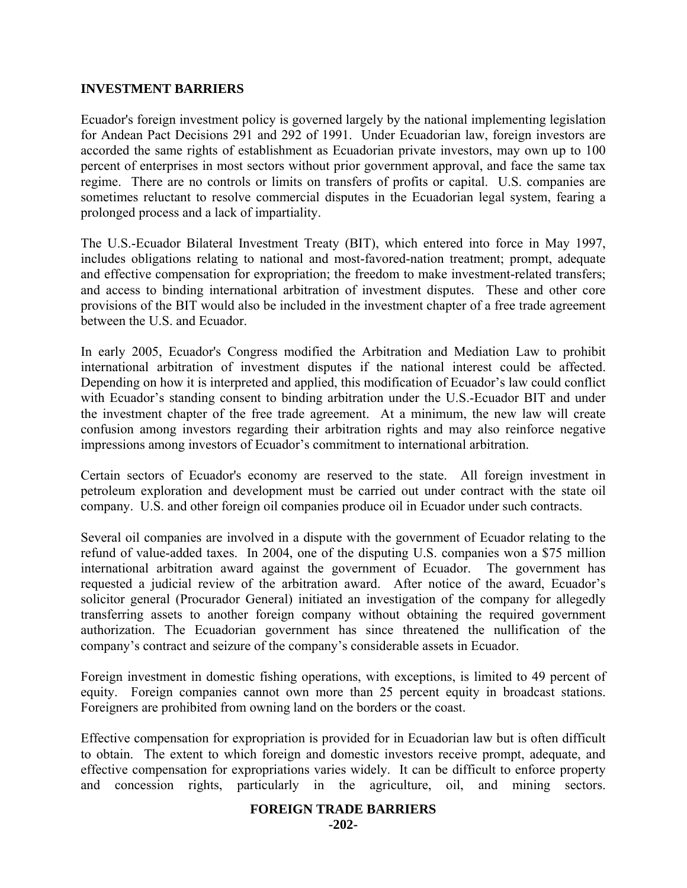#### **INVESTMENT BARRIERS**

Ecuador's foreign investment policy is governed largely by the national implementing legislation for Andean Pact Decisions 291 and 292 of 1991. Under Ecuadorian law, foreign investors are accorded the same rights of establishment as Ecuadorian private investors, may own up to 100 percent of enterprises in most sectors without prior government approval, and face the same tax regime. There are no controls or limits on transfers of profits or capital. U.S. companies are sometimes reluctant to resolve commercial disputes in the Ecuadorian legal system, fearing a prolonged process and a lack of impartiality.

The U.S.-Ecuador Bilateral Investment Treaty (BIT), which entered into force in May 1997, includes obligations relating to national and most-favored-nation treatment; prompt, adequate and effective compensation for expropriation; the freedom to make investment-related transfers; and access to binding international arbitration of investment disputes. These and other core provisions of the BIT would also be included in the investment chapter of a free trade agreement between the U.S. and Ecuador.

In early 2005, Ecuador's Congress modified the Arbitration and Mediation Law to prohibit international arbitration of investment disputes if the national interest could be affected. Depending on how it is interpreted and applied, this modification of Ecuador's law could conflict with Ecuador's standing consent to binding arbitration under the U.S.-Ecuador BIT and under the investment chapter of the free trade agreement. At a minimum, the new law will create confusion among investors regarding their arbitration rights and may also reinforce negative impressions among investors of Ecuador's commitment to international arbitration.

Certain sectors of Ecuador's economy are reserved to the state. All foreign investment in petroleum exploration and development must be carried out under contract with the state oil company. U.S. and other foreign oil companies produce oil in Ecuador under such contracts.

Several oil companies are involved in a dispute with the government of Ecuador relating to the refund of value-added taxes. In 2004, one of the disputing U.S. companies won a \$75 million international arbitration award against the government of Ecuador. The government has requested a judicial review of the arbitration award. After notice of the award, Ecuador's solicitor general (Procurador General) initiated an investigation of the company for allegedly transferring assets to another foreign company without obtaining the required government authorization. The Ecuadorian government has since threatened the nullification of the company's contract and seizure of the company's considerable assets in Ecuador.

Foreign investment in domestic fishing operations, with exceptions, is limited to 49 percent of equity. Foreign companies cannot own more than 25 percent equity in broadcast stations. Foreigners are prohibited from owning land on the borders or the coast.

Effective compensation for expropriation is provided for in Ecuadorian law but is often difficult to obtain. The extent to which foreign and domestic investors receive prompt, adequate, and effective compensation for expropriations varies widely. It can be difficult to enforce property and concession rights, particularly in the agriculture, oil, and mining sectors.

#### **FOREIGN TRADE BARRIERS**